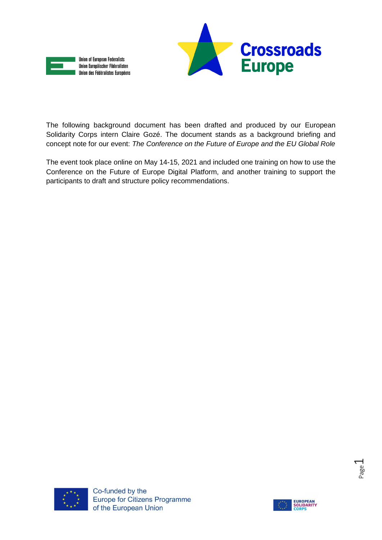



The following background document has been drafted and produced by our European Solidarity Corps intern Claire Gozé. The document stands as a background briefing and concept note for our event: *The Conference on the Future of Europe and the EU Global Role*

The event took place online on May 14-15, 2021 and included one training on how to use the Conference on the Future of Europe Digital Platform, and another training to support the participants to draft and structure policy recommendations.



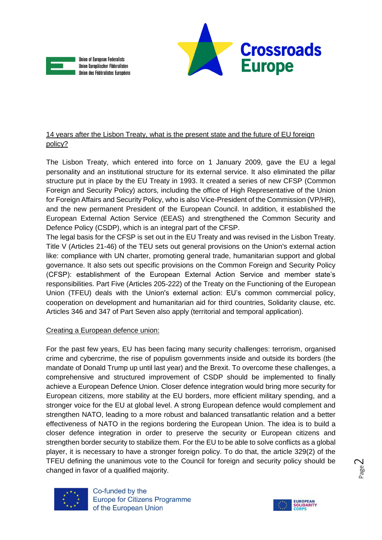



# 14 years after the Lisbon Treaty, what is the present state and the future of EU foreign policy?

The Lisbon Treaty, which entered into force on 1 January 2009, gave the EU a legal personality and an institutional structure for its external service. It also eliminated the pillar structure put in place by the EU Treaty in 1993. It created a series of new CFSP (Common Foreign and Security Policy) actors, including the office of High Representative of the Union for Foreign Affairs and Security Policy, who is also Vice-President of the Commission (VP/HR), and the new permanent President of the European Council. In addition, it established the European External Action Service (EEAS) and strengthened the Common Security and Defence Policy (CSDP), which is an integral part of the CFSP.

The legal basis for the CFSP is set out in the EU Treaty and was revised in the Lisbon Treaty. Title V (Articles 21-46) of the TEU sets out general provisions on the Union's external action like: compliance with UN charter, promoting general trade, humanitarian support and global governance. It also sets out specific provisions on the Common Foreign and Security Policy (CFSP): establishment of the European External Action Service and member state's responsibilities. Part Five (Articles 205-222) of the Treaty on the Functioning of the European Union (TFEU) deals with the Union's external action: EU's common commercial policy, cooperation on development and humanitarian aid for third countries, Solidarity clause, etc. Articles 346 and 347 of Part Seven also apply (territorial and temporal application).

## Creating a European defence union:

For the past few years, EU has been facing many security challenges: terrorism, organised crime and cybercrime, the rise of populism governments inside and outside its borders (the mandate of Donald Trump up until last year) and the Brexit. To overcome these challenges, a comprehensive and structured improvement of CSDP should be implemented to finally achieve a European Defence Union. Closer defence integration would bring more security for European citizens, more stability at the EU borders, more efficient military spending, and a stronger voice for the EU at global level. A strong European defence would complement and strengthen NATO, leading to a more robust and balanced transatlantic relation and a better effectiveness of NATO in the regions bordering the European Union. The idea is to build a closer defence integration in order to preserve the security or European citizens and strengthen border security to stabilize them. For the EU to be able to solve conflicts as a global player, it is necessary to have a stronger foreign policy. To do that, the article 329(2) of the TFEU defining the unanimous vote to the Council for foreign and security policy should be changed in favor of a qualified majority.



Co-funded by the **Europe for Citizens Programme** of the European Union

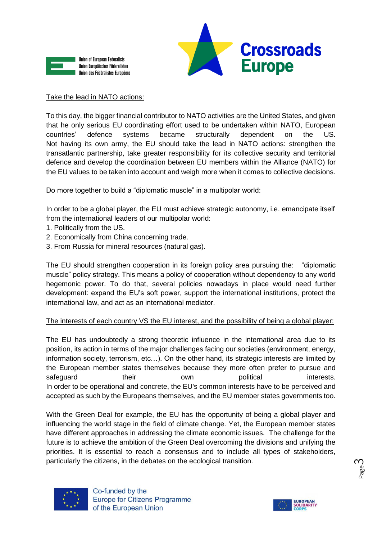



### Take the lead in NATO actions:

To this day, the bigger financial contributor to NATO activities are the United States, and given that he only serious EU coordinating effort used to be undertaken within NATO, European countries' defence systems became structurally dependent on the US. Not having its own army, the EU should take the lead in NATO actions: strengthen the transatlantic partnership, take greater responsibility for its collective security and territorial defence and develop the coordination between EU members within the Alliance (NATO) for the EU values to be taken into account and weigh more when it comes to collective decisions.

## Do more together to build a "diplomatic muscle" in a multipolar world:

In order to be a global player, the EU must achieve strategic autonomy, i.e. emancipate itself from the international leaders of our multipolar world:

- 1. Politically from the US.
- 2. Economically from China concerning trade.
- 3. From Russia for mineral resources (natural gas).

The EU should strengthen cooperation in its foreign policy area pursuing the: "diplomatic muscle" policy strategy. This means a policy of cooperation without dependency to any world hegemonic power. To do that, several policies nowadays in place would need further development: expand the EU's soft power, support the international institutions, protect the international law, and act as an international mediator.

## The interests of each country VS the EU interest, and the possibility of being a global player:

The EU has undoubtedly a strong theoretic influence in the international area due to its position, its action in terms of the major challenges facing our societies (environment, energy, information society, terrorism, etc…). On the other hand, its strategic interests are limited by the European member states themselves because they more often prefer to pursue and safeguard **their** own political interests. In order to be operational and concrete, the EU's common interests have to be perceived and accepted as such by the Europeans themselves, and the EU member states governments too.

With the Green Deal for example, the EU has the opportunity of being a global player and influencing the world stage in the field of climate change. Yet, the European member states have different approaches in addressing the climate economic issues. The challenge for the future is to achieve the ambition of the Green Deal overcoming the divisions and unifying the priorities. It is essential to reach a consensus and to include all types of stakeholders, particularly the citizens, in the debates on the ecological transition.